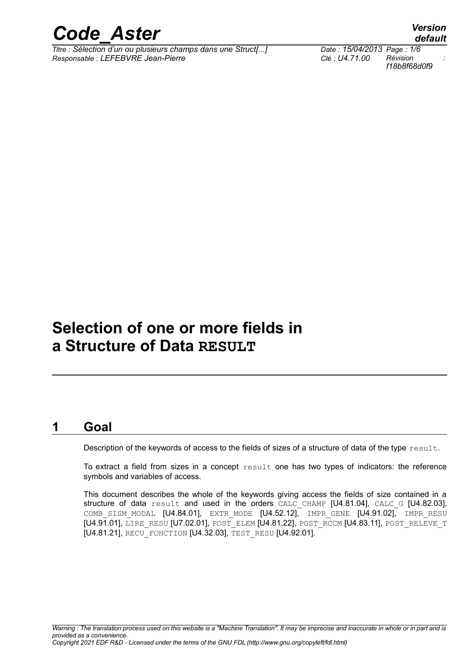

*Titre : Sélection d'un ou plusieurs champs dans une Struct[...] Date : 15/04/2013 Page : 1/6 Responsable : LEFEBVRE Jean-Pierre Clé : U4.71.00 Révision :*

*default f18b8f68d0f9*

## **Selection of one or more fields in a Structure of Data RESULT**

#### **1 Goal**

Description of the keywords of access to the fields of sizes of a structure of data of the type result.

To extract a field from sizes in a concept  $result$  one has two types of indicators: the reference symbols and variables of access.

This document describes the whole of the keywords giving access the fields of size contained in a structure of data result and used in the orders CALC CHAMP [U4.81.04], CALC G [U4.82.03], COMB SISM MODAL  $[U4.84.01]$ , EXTR MODE  $[U4.52.12]$ , IMPR GENE  $[U4.91.02]$ , IMPR RESU [U4.91.01], LIRE\_RESU [U7.02.01], POST\_ELEM [U4.81.22], POST\_RCCM [U4.83.11], POST\_RELEVE\_T [U4.81.21], RECU\_FONCTION [U4.32.03], TEST\_RESU [U4.92.01].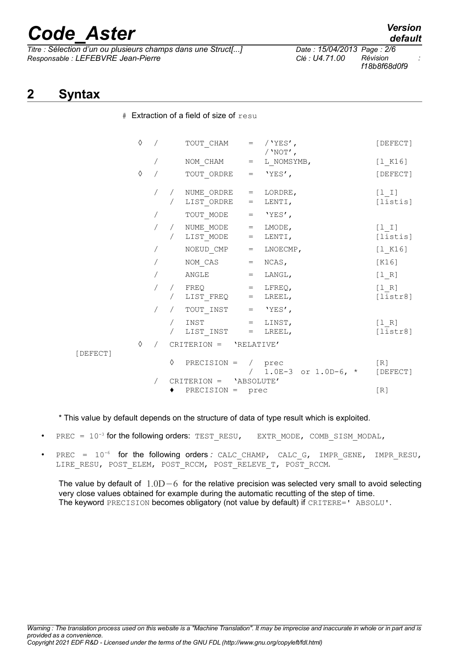*Titre : Sélection d'un ou plusieurs champs dans une Struct[...] Date : 15/04/2013 Page : 2/6 Responsable : LEFEBVRE Jean-Pierre Clé : U4.71.00 Révision :*

# Extraction of a field of size of resu

*f18b8f68d0f9*

### **2 Syntax**

|          | ♦ |            |            | TOUT CHAM = $/$ 'YES',                                                                                |     | / $'NOT'$ ,                | [DEFECT]            |
|----------|---|------------|------------|-------------------------------------------------------------------------------------------------------|-----|----------------------------|---------------------|
|          |   |            |            | $\begin{array}{cccc}\n\text{NOM\_CHAM} & = & \text{L\_NOMSYMB,} \\ \end{array}$                       |     |                            | [1 K16]             |
|          | ♦ |            |            | TOUT ORDRE                                                                                            |     | $=$ 'YES',                 | [DEFECT]            |
|          |   |            |            | / NUME_ORDRE = LORDRE,<br>/ LIST ORDRE                                                                | $=$ | LENTI,                     | $[1 I]$<br>[listis] |
|          |   |            |            | TOUT MODE                                                                                             |     | $=$ 'YES',                 |                     |
|          |   |            |            | $\begin{array}{cccc} \sqrt{16} & \text{NUME\_MODE} & = & \text{LMODE,} \end{array}$<br>/ LIST_MODE    |     | $=$ LENTI,                 | $[1 1]$<br>[listis] |
|          |   |            |            | NOEUD CMP                                                                                             |     | $=$ LNOECMP,               | [1 K16]             |
|          |   |            |            | NOM_CAS                                                                                               |     | $=$ NCAS,                  | [K16]               |
|          |   |            |            | $\texttt{ANGLE}$ = $\texttt{LANGL}$ ,                                                                 |     |                            | [1 R]               |
|          |   |            |            | / $\text{FREQ}$ = $\text{LFREQ}$ ,<br>$/$ LIST_FREQ = LREEL,                                          |     |                            | [1 R]<br>[liststr8] |
|          |   |            |            | / $TOUT_INST = 'YES',$                                                                                |     |                            |                     |
|          |   |            | $\sqrt{2}$ | $\begin{array}{cccc}\n\text{INST} & = & \text{LINST}\text{,}\n\end{array}$<br>$LIST\_INST$ = $LREEL,$ |     |                            | [1 R]<br>[liststr8] |
|          | ♦ | $\sqrt{2}$ |            | CRITERION = $'RELATIVE'$                                                                              |     |                            |                     |
| [DEFECT] |   |            |            | $\Diamond$ PRECISION = / prec                                                                         |     | / $1.0E-3$ or $1.0D-6$ , * | [R]<br>[DEFECT]     |
|          |   |            |            | CRITERION = 'ABSOLUTE'                                                                                |     |                            |                     |
|          |   |            |            | PRECISION = prec                                                                                      |     |                            | [R]                 |

\* This value by default depends on the structure of data of type result which is exploited.

- PREC =  $10^{-3}$  for the following orders: TEST\_RESU, EXTR\_MODE, COMB\_SISM\_MODAL,
- PREC =  $10^{-6}$  for the following orders *:* CALC CHAMP, CALC G, IMPR GENE, IMPR RESU, LIRE\_RESU, POST\_ELEM, POST\_RCCM, POST\_RELEVE\_T, POST\_RCCM.

The value by default of 1.0D−6 for the relative precision was selected very small to avoid selecting very close values obtained for example during the automatic recutting of the step of time. The keyword PRECISION becomes obligatory (not value by default) if CRITERE=' ABSOLU'.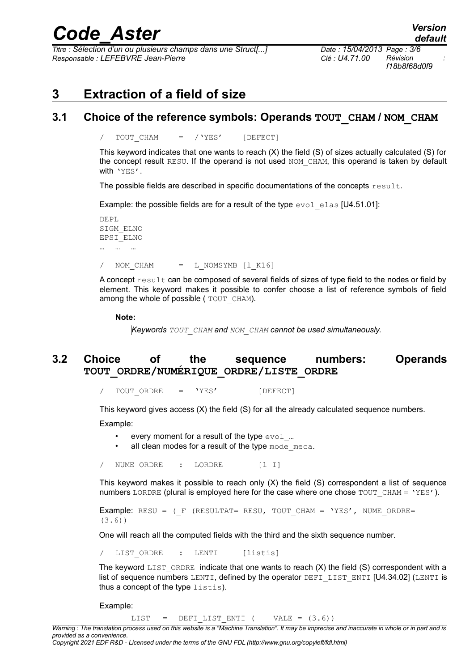*Titre : Sélection d'un ou plusieurs champs dans une Struct[...] Date : 15/04/2013 Page : 3/6 Responsable : LEFEBVRE Jean-Pierre Clé : U4.71.00 Révision :*

*f18b8f68d0f9*

### **3 Extraction of a field of size**

#### **3.1 Choice of the reference symbols: Operands TOUT\_CHAM / NOM\_CHAM**

/ TOUT CHAM = /'YES' [DEFECT]

This keyword indicates that one wants to reach (X) the field (S) of sizes actually calculated (S) for the concept result RESU. If the operand is not used NOM CHAM, this operand is taken by default with 'YES'.

The possible fields are described in specific documentations of the concepts  $result$ .

Example: the possible fields are for a result of the type  $evol$  elas [U4.51.01]:

DEPL SIGM\_ELNO EPSI\_ELNO … … … / NOM CHAM = L NOMSYMB [1 K16]

A concept result can be composed of several fields of sizes of type field to the nodes or field by element. This keyword makes it possible to confer choose a list of reference symbols of field among the whole of possible (  $TOUT$  CHAM).

**Note:**

*Keywords TOUT\_CHAM and NOM\_CHAM cannot be used simultaneously.*

#### **3.2 Choice of the sequence numbers: Operands TOUT\_ORDRE/NUMÉRIQUE\_ORDRE/LISTE\_ORDRE**

TOUT ORDRE = 'YES' [DEFECT]

This keyword gives access (X) the field (S) for all the already calculated sequence numbers.

Example:

- every moment for a result of the type  $evol$  ...
- all clean modes for a result of the type mode meca.

/ NUME ORDRE : LORDRE [l I]

This keyword makes it possible to reach only (X) the field (S) correspondent a list of sequence numbers LORDRE (plural is employed here for the case where one chose  $TOUTCHAM = 'YES'.$ ).

Example: RESU =  $(F$  (RESULTAT= RESU, TOUT CHAM = 'YES', NUME ORDRE= (3.6))

One will reach all the computed fields with the third and the sixth sequence number.

/ LIST\_ORDRE : LENTI [listis]

The keyword  $LIST$  ORDRE indicate that one wants to reach  $(X)$  the field  $(S)$  correspondent with a list of sequence numbers LENTI, defined by the operator DEFI\_LIST\_ENTI [U4.34.02] (LENTI is thus a concept of the type listis).

Example:

LIST = DEFI LIST ENTI ( VALE =  $(3.6)$ )

*Warning : The translation process used on this website is a "Machine Translation". It may be imprecise and inaccurate in whole or in part and is provided as a convenience.*

*Copyright 2021 EDF R&D - Licensed under the terms of the GNU FDL (http://www.gnu.org/copyleft/fdl.html)*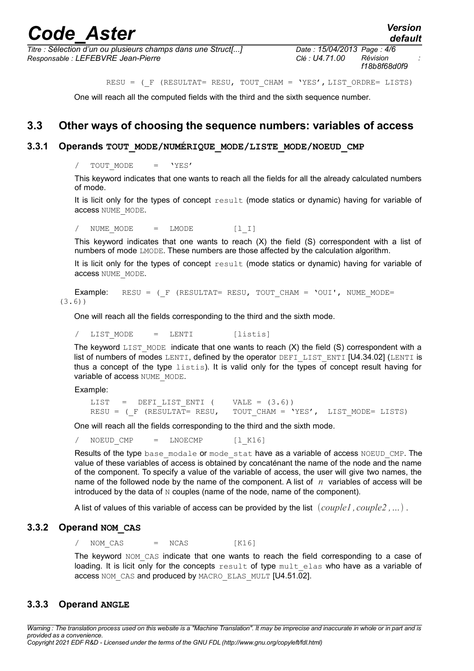*Titre : Sélection d'un ou plusieurs champs dans une Struct[...] Date : 15/04/2013 Page : 4/6 Responsable : LEFEBVRE Jean-Pierre Clé : U4.71.00 Révision :*

*f18b8f68d0f9*

RESU = (F (RESULTAT= RESU, TOUT CHAM = 'YES', LIST ORDRE= LISTS)

One will reach all the computed fields with the third and the sixth sequence number.

#### **3.3 Other ways of choosing the sequence numbers: variables of access**

#### **3.3.1 Operands TOUT\_MODE/NUMÉRIQUE\_MODE/LISTE\_MODE/NOEUD\_CMP**

/ TOUT MODE = 'YES'

This keyword indicates that one wants to reach all the fields for all the already calculated numbers of mode.

It is licit only for the types of concept result (mode statics or dynamic) having for variable of access NUME\_MODE.

/ NUME MODE = LMODE [l I]

This keyword indicates that one wants to reach (X) the field (S) correspondent with a list of numbers of mode LMODE. These numbers are those affected by the calculation algorithm.

It is licit only for the types of concept result (mode statics or dynamic) having for variable of access NUME\_MODE.

**Example:** RESU =  $(F \times R)$  (RESULTAT= RESU, TOUT CHAM = 'OUI', NUME MODE= (3.6))

One will reach all the fields corresponding to the third and the sixth mode.

/ LIST\_MODE = LENTI [listis]

The keyword LIST MODE indicate that one wants to reach  $(X)$  the field  $(S)$  correspondent with a list of numbers of modes LENTI, defined by the operator DEFI\_LIST\_ENTI  $[U4.34.02]$  (LENTI is thus a concept of the type listis). It is valid only for the types of concept result having for variable of access NUME\_MODE.

Example:

```
LIST = DEFI_LIST_ENTI ( VALE = (3.6))
RESU = (F (RESULTAT= RESU, TOUT CHAM = 'YES', LIST MODE= LISTS)
```
One will reach all the fields corresponding to the third and the sixth mode.

 $NOEUD$   $CMP$  =  $LNOECMP$   $[1$   $K16]$ 

Results of the type base modale or mode stat have as a variable of access NOEUD CMP. The value of these variables of access is obtained by concaténant the name of the node and the name of the component. To specify a value of the variable of access, the user will give two names, the name of the followed node by the name of the component. A list of *n* variables of access will be introduced by the data of N couples (name of the node, name of the component).

A list of values of this variable of access can be provided by the list *couple1 , couple2 ,…* .

#### **3.3.2 Operand NOM\_CAS**

 $NOM CAS$  =  $NCAS$  [K16]

The keyword NOM CAS indicate that one wants to reach the field corresponding to a case of loading. It is licit only for the concepts  $result$  of type  $mult$  elas who have as a variable of access NOM\_CAS and produced by MACRO\_ELAS\_MULT [U4.51.02].

#### **3.3.3 Operand ANGLE**

*Warning : The translation process used on this website is a "Machine Translation". It may be imprecise and inaccurate in whole or in part and is provided as a convenience. Copyright 2021 EDF R&D - Licensed under the terms of the GNU FDL (http://www.gnu.org/copyleft/fdl.html)*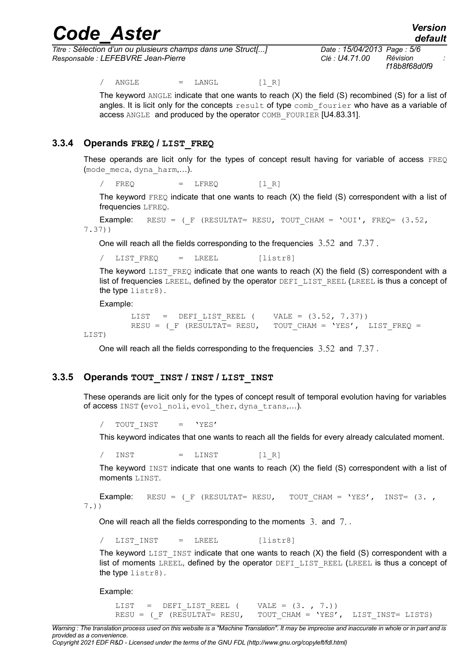*Titre : Sélection d'un ou plusieurs champs dans une Struct[...] Date : 15/04/2013 Page : 5/6 Responsable : LEFEBVRE Jean-Pierre Clé : U4.71.00 Révision :*

*f18b8f68d0f9*

 $/$  ANGLE = LANGL  $[1 R]$ 

The keyword ANGLE indicate that one wants to reach  $(X)$  the field  $(S)$  recombined  $(S)$  for a list of angles. It is licit only for the concepts  $result$  of type comb fourier who have as a variable of access ANGLE and produced by the operator COMB\_FOURIER [U4.83.31].

#### **3.3.4 Operands FREQ / LIST\_FREQ**

These operands are licit only for the types of concept result having for variable of access FREQ (mode\_meca, dyna\_harm,…).

 $/$  FREQ = LFREQ  $[1 R]$ 

The keyword  $FREQ$  indicate that one wants to reach  $(X)$  the field  $(S)$  correspondent with a list of frequencies LFREQ.

**Example:** RESU =  $(F \times (RESULTAT= RESULT, TOUT CHAM = 'OUT', FREQ = (3.52,$ 7.37))

One will reach all the fields corresponding to the frequencies 3.52 and 7.37 .

/ LIST\_FREQ = LREEL [listr8]

The keyword LIST FREQ indicate that one wants to reach  $(X)$  the field  $(S)$  correspondent with a list of frequencies LREEL, defined by the operator DEFI\_LIST\_REEL (LREEL is thus a concept of the type listr8).

Example:

```
LIST = DEFI_LIST_REEL ( VALE = (3.52, 7.37))<br>RESU = ( F (RESULTAT= RESU, TOUT CHAM = 'YES',
                                          TOUT CHAM = 'YES', LIST FREQ =
```
LIST)

One will reach all the fields corresponding to the frequencies  $3.52$  and  $7.37$ .

#### **3.3.5 Operands TOUT\_INST / INST / LIST\_INST**

These operands are licit only for the types of concept result of temporal evolution having for variables of access INST (evol noli, evol ther, dyna trans,...).

TOUT INST = 'YES'

This keyword indicates that one wants to reach all the fields for every already calculated moment.

/ INST = LINST [1R]

The keyword  $INST$  indicate that one wants to reach  $(X)$  the field  $(S)$  correspondent with a list of moments LINST.

```
Example: RESU = (F \times (RESULTATE \times ESU, TOUT CHAM = 'YES', INSTE (3. , ...))7.))
```
One will reach all the fields corresponding to the moments 3. and 7. .

/ LIST\_INST = LREEL [listr8]

The keyword  $LIST$  INST indicate that one wants to reach  $(X)$  the field  $(S)$  correspondent with a list of moments LREEL, defined by the operator DEFI\_LIST\_REEL (LREEL is thus a concept of the type listr8).

Example:

LIST = DEFI LIST REEL ( VALE =  $(3. , 7.))$ RESU = ( $F$  (RESULTAT= RESU, TOUT CHAM = 'YES', LIST INST= LISTS)